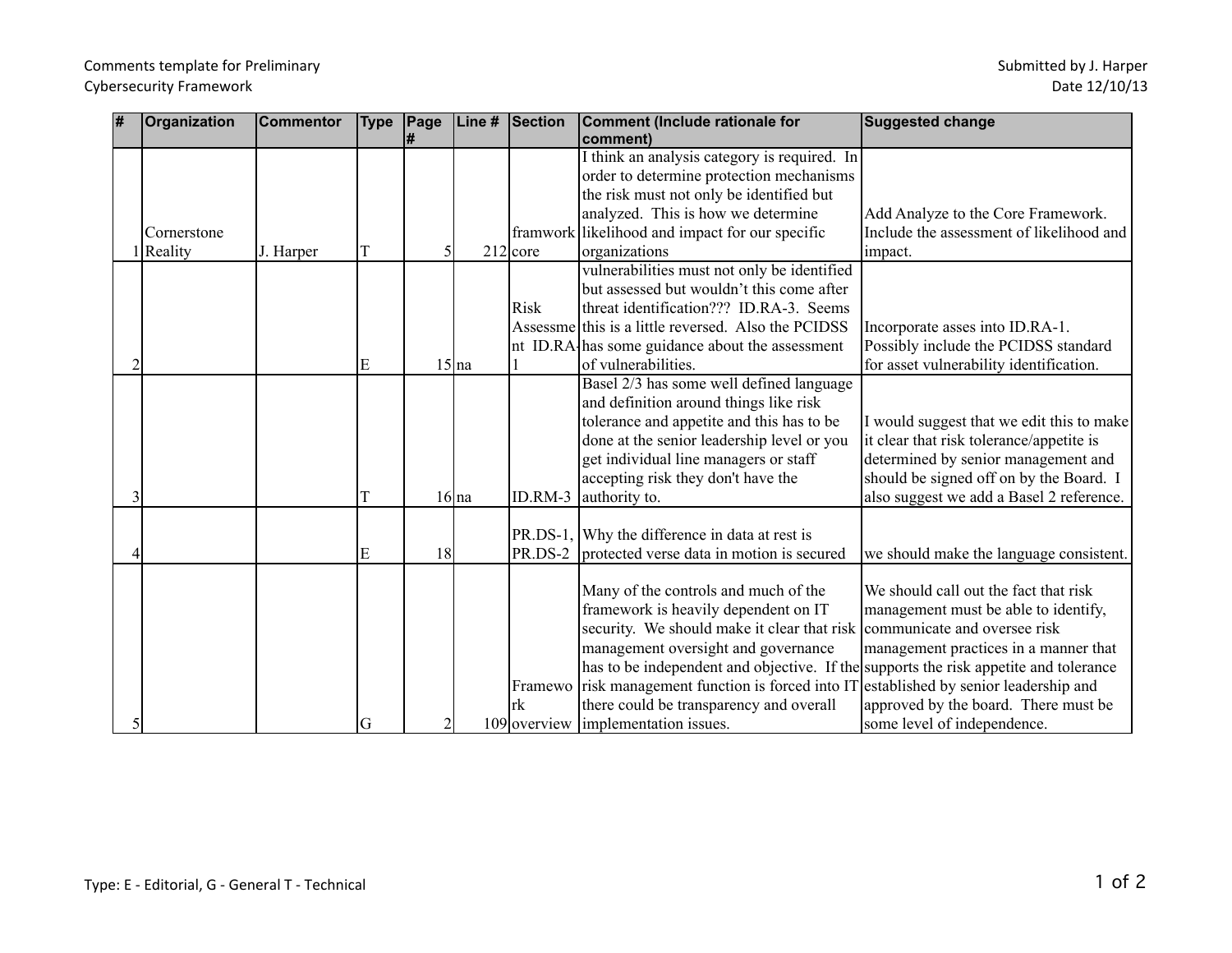## Comments template for Preliminary Cybersecurity Framework

| 1# | Organization | <b>Commentor</b> | <b>Type</b> | Page<br># | Line#    | Section      | <b>Comment (Include rationale for</b><br>comment)                                    | Suggested change                          |
|----|--------------|------------------|-------------|-----------|----------|--------------|--------------------------------------------------------------------------------------|-------------------------------------------|
|    |              |                  |             |           |          |              | I think an analysis category is required. In                                         |                                           |
|    |              |                  |             |           |          |              | order to determine protection mechanisms                                             |                                           |
|    |              |                  |             |           |          |              | the risk must not only be identified but                                             |                                           |
|    |              |                  |             |           |          |              | analyzed. This is how we determine                                                   | Add Analyze to the Core Framework.        |
|    | Cornerstone  |                  |             |           |          |              | framwork likelihood and impact for our specific                                      | Include the assessment of likelihood and  |
|    | Reality      | J. Harper        |             |           |          | 212 core     | organizations                                                                        | impact.                                   |
|    |              |                  |             |           |          |              | vulnerabilities must not only be identified                                          |                                           |
|    |              |                  |             |           |          |              | but assessed but wouldn't this come after                                            |                                           |
|    |              |                  |             |           |          | <b>Risk</b>  | threat identification??? ID.RA-3. Seems                                              |                                           |
|    |              |                  |             |           |          |              | Assessme this is a little reversed. Also the PCIDSS                                  | Incorporate asses into ID.RA-1.           |
|    |              |                  |             |           |          |              | nt ID.RA has some guidance about the assessment                                      | Possibly include the PCIDSS standard      |
|    |              |                  | E           |           | $15$  na |              | of vulnerabilities.                                                                  | for asset vulnerability identification.   |
|    |              |                  |             |           |          |              | Basel 2/3 has some well defined language                                             |                                           |
|    |              |                  |             |           |          |              | and definition around things like risk                                               |                                           |
|    |              |                  |             |           |          |              | tolerance and appetite and this has to be                                            | I would suggest that we edit this to make |
|    |              |                  |             |           |          |              | done at the senior leadership level or you                                           | it clear that risk tolerance/appetite is  |
|    |              |                  |             |           |          |              | get individual line managers or staff                                                | determined by senior management and       |
|    |              |                  |             |           |          |              | accepting risk they don't have the                                                   | should be signed off on by the Board. I   |
|    |              |                  |             |           | $16$ na  | ID.RM-3      | authority to.                                                                        | also suggest we add a Basel 2 reference.  |
|    |              |                  |             |           |          |              |                                                                                      |                                           |
|    |              |                  |             |           |          |              | PR.DS-1, Why the difference in data at rest is                                       |                                           |
|    |              |                  | E           | 18        |          | PR.DS-2      | protected verse data in motion is secured                                            | we should make the language consistent.   |
|    |              |                  |             |           |          |              |                                                                                      |                                           |
|    |              |                  |             |           |          |              | Many of the controls and much of the                                                 | We should call out the fact that risk     |
|    |              |                  |             |           |          |              | framework is heavily dependent on IT                                                 | management must be able to identify,      |
|    |              |                  |             |           |          |              | security. We should make it clear that risk communicate and oversee risk             |                                           |
|    |              |                  |             |           |          |              | management oversight and governance                                                  | management practices in a manner that     |
|    |              |                  |             |           |          |              | has to be independent and objective. If the supports the risk appetite and tolerance |                                           |
|    |              |                  |             |           |          | Framewo      | risk management function is forced into I7                                           | established by senior leadership and      |
|    |              |                  |             |           |          | rk           | there could be transparency and overall                                              | approved by the board. There must be      |
|    |              |                  | G           | 2         |          | 109 overview | implementation issues.                                                               | some level of independence.               |